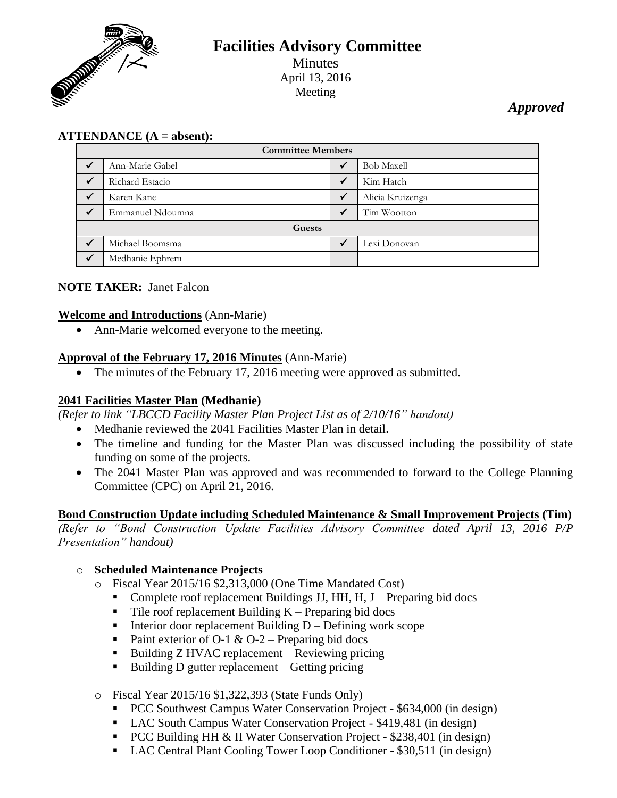

# **Facilities Advisory Committee** Minutes April 13, 2016 Meeting

# *Approved*

# **ATTENDANCE (A = absent):**

| <b>Committee Members</b> |                  |  |                   |
|--------------------------|------------------|--|-------------------|
|                          | Ann-Marie Gabel  |  | <b>Bob Maxell</b> |
| $\checkmark$             | Richard Estacio  |  | Kim Hatch         |
|                          | Karen Kane       |  | Alicia Kruizenga  |
|                          | Emmanuel Ndoumna |  | Tim Wootton       |
| Guests                   |                  |  |                   |
|                          | Michael Boomsma  |  | Lexi Donovan      |
|                          | Medhanie Ephrem  |  |                   |

# **NOTE TAKER:** Janet Falcon

#### **Welcome and Introductions** (Ann-Marie)

• Ann-Marie welcomed everyone to the meeting.

#### **Approval of the February 17, 2016 Minutes** (Ann-Marie)

• The minutes of the February 17, 2016 meeting were approved as submitted.

# **2041 Facilities Master Plan (Medhanie)**

*(Refer to link "LBCCD Facility Master Plan Project List as of 2/10/16" handout)*

- Medhanie reviewed the 2041 Facilities Master Plan in detail.
- The timeline and funding for the Master Plan was discussed including the possibility of state funding on some of the projects.
- The 2041 Master Plan was approved and was recommended to forward to the College Planning Committee (CPC) on April 21, 2016.

# **Bond Construction Update including Scheduled Maintenance & Small Improvement Projects (Tim)**

*(Refer to "Bond Construction Update Facilities Advisory Committee dated April 13, 2016 P/P Presentation" handout)*

# o **Scheduled Maintenance Projects**

- o Fiscal Year 2015/16 \$2,313,000 (One Time Mandated Cost)
	- Complete roof replacement Buildings JJ, HH, H, J Preparing bid docs
	- $\blacksquare$  Tile roof replacement Building K Preparing bid docs
	- Interior door replacement Building  $D Defining$  work scope
	- Paint exterior of O-1 & O-2 Preparing bid docs
	- $\blacksquare$  Building Z HVAC replacement Reviewing pricing
	- Building D gutter replacement Getting pricing

#### o Fiscal Year 2015/16 \$1,322,393 (State Funds Only)

- **PCC Southwest Campus Water Conservation Project \$634,000 (in design)**
- LAC South Campus Water Conservation Project \$419,481 (in design)
- **PCC Building HH & II Water Conservation Project \$238,401 (in design)**
- LAC Central Plant Cooling Tower Loop Conditioner \$30,511 (in design)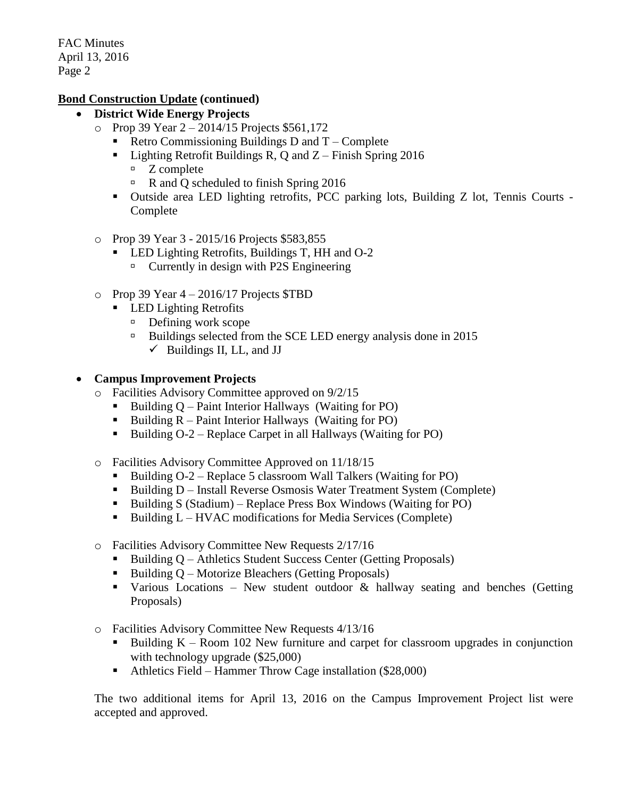# **Bond Construction Update (continued)**

- **District Wide Energy Projects**
	- o Prop 39 Year 2 2014/15 Projects \$561,172
		- Retro Commissioning Buildings D and  $T -$ Complete
		- Elighting Retrofit Buildings R, Q and  $Z$  Finish Spring 2016
			- $Z$  complete
			- R and Q scheduled to finish Spring 2016
		- Outside area LED lighting retrofits, PCC parking lots, Building Z lot, Tennis Courts Complete
	- o Prop 39 Year 3 2015/16 Projects \$583,855
		- LED Lighting Retrofits, Buildings T, HH and O-2
			- $\Box$  Currently in design with P2S Engineering
	- $\degree$  Prop 39 Year 4 2016/17 Projects \$TBD
		- **LED Lighting Retrofits** 
			- $\Box$  Defining work scope
			- <sup>n</sup> Buildings selected from the SCE LED energy analysis done in 2015
				- $\checkmark$  Buildings II, LL, and JJ

# **Campus Improvement Projects**

- o Facilities Advisory Committee approved on 9/2/15
	- Building  $Q$  Paint Interior Hallways (Waiting for PO)
	- **Building R** Paint Interior Hallways (Waiting for PO)
	- Building  $O-2$  Replace Carpet in all Hallways (Waiting for PO)
- o Facilities Advisory Committee Approved on 11/18/15
	- Building  $O-2$  Replace 5 classroom Wall Talkers (Waiting for PO)
	- Building D Install Reverse Osmosis Water Treatment System (Complete)
	- Building S (Stadium) Replace Press Box Windows (Waiting for PO)
	- $\blacksquare$  Building L HVAC modifications for Media Services (Complete)
- o Facilities Advisory Committee New Requests 2/17/16
	- Building Q Athletics Student Success Center (Getting Proposals)
	- Building  $Q$  Motorize Bleachers (Getting Proposals)
	- Various Locations New student outdoor  $\&$  hallway seating and benches (Getting Proposals)
- o Facilities Advisory Committee New Requests 4/13/16
	- Building  $K -$  Room 102 New furniture and carpet for classroom upgrades in conjunction with technology upgrade (\$25,000)
	- Athletics Field Hammer Throw Cage installation (\$28,000)

The two additional items for April 13, 2016 on the Campus Improvement Project list were accepted and approved.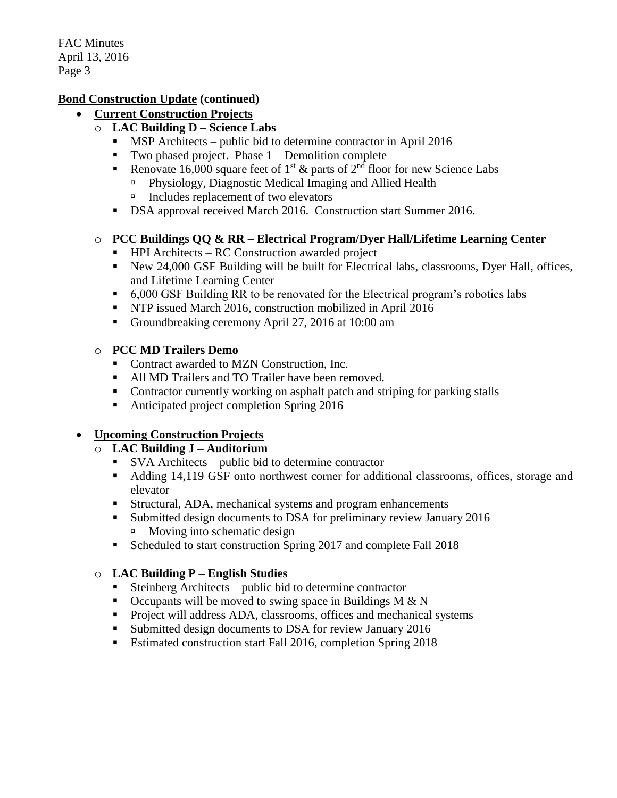#### **Bond Construction Update (continued)**

- **Current Construction Projects**
	- o **LAC Building D – Science Labs**
		- **MSP** Architects public bid to determine contractor in April 2016
		- Two phased project. Phase  $1$  Demolition complete
		- Renovate 16,000 square feet of 1<sup>st</sup>  $\&$  parts of 2<sup>nd</sup> floor for new Science Labs
			- Physiology, Diagnostic Medical Imaging and Allied Health
			- $\Box$  Includes replacement of two elevators
		- DSA approval received March 2016. Construction start Summer 2016.

# o **PCC Buildings QQ & RR – Electrical Program/Dyer Hall/Lifetime Learning Center**

- $\blacksquare$  HPI Architects RC Construction awarded project
- New 24,000 GSF Building will be built for Electrical labs, classrooms, Dyer Hall, offices, and Lifetime Learning Center
- 6,000 GSF Building RR to be renovated for the Electrical program's robotics labs
- **NTP** issued March 2016, construction mobilized in April 2016
- Groundbreaking ceremony April 27, 2016 at 10:00 am

# o **PCC MD Trailers Demo**

- Contract awarded to MZN Construction, Inc.
- All MD Trailers and TO Trailer have been removed.
- Contractor currently working on asphalt patch and striping for parking stalls
- Anticipated project completion Spring 2016

# **Upcoming Construction Projects**

# o **LAC Building J – Auditorium**

- SVA Architects public bid to determine contractor
- Adding 14,119 GSF onto northwest corner for additional classrooms, offices, storage and elevator
- Structural, ADA, mechanical systems and program enhancements
- Submitted design documents to DSA for preliminary review January 2016 Moving into schematic design
- Scheduled to start construction Spring 2017 and complete Fall 2018

# o **LAC Building P – English Studies**

- Steinberg Architects public bid to determine contractor
- $\blacksquare$  Occupants will be moved to swing space in Buildings M & N
- **Project will address ADA, classrooms, offices and mechanical systems**
- Submitted design documents to DSA for review January 2016
- Estimated construction start Fall 2016, completion Spring 2018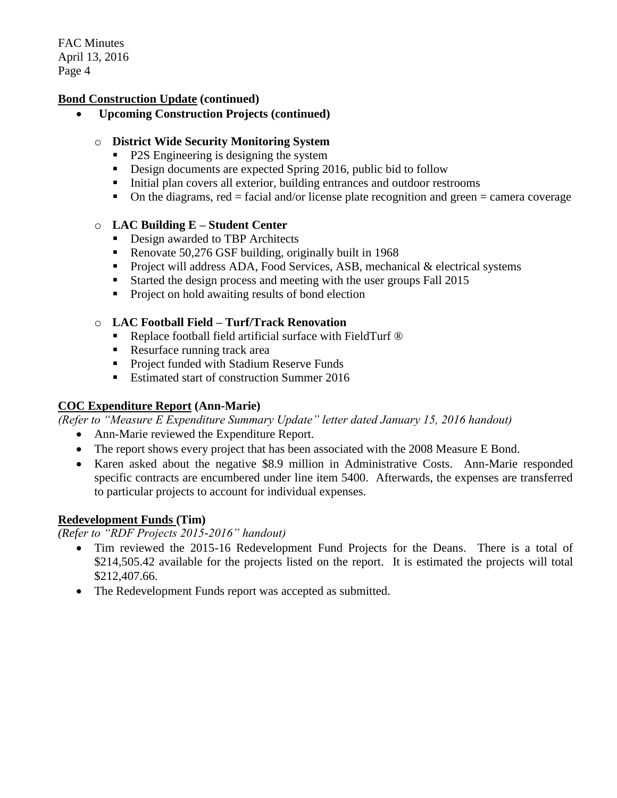#### **Bond Construction Update (continued)**

**Upcoming Construction Projects (continued)**

#### o **District Wide Security Monitoring System**

- P2S Engineering is designing the system
- Design documents are expected Spring 2016, public bid to follow
- Initial plan covers all exterior, building entrances and outdoor restrooms
- $\blacksquare$  On the diagrams, red = facial and/or license plate recognition and green = camera coverage

#### o **LAC Building E – Student Center**

- Design awarded to TBP Architects
- Renovate 50,276 GSF building, originally built in 1968
- Project will address ADA, Food Services, ASB, mechanical  $&$  electrical systems
- Started the design process and meeting with the user groups Fall 2015
- Project on hold awaiting results of bond election

#### o **LAC Football Field – Turf/Track Renovation**

- Replace football field artificial surface with FieldTurf <sup>®</sup>
- Resurface running track area
- **Project funded with Stadium Reserve Funds**
- Estimated start of construction Summer 2016

# **COC Expenditure Report (Ann-Marie)**

*(Refer to "Measure E Expenditure Summary Update" letter dated January 15, 2016 handout)*

- Ann-Marie reviewed the Expenditure Report.
- The report shows every project that has been associated with the 2008 Measure E Bond.
- Karen asked about the negative \$8.9 million in Administrative Costs. Ann-Marie responded specific contracts are encumbered under line item 5400. Afterwards, the expenses are transferred to particular projects to account for individual expenses.

#### **Redevelopment Funds (Tim)**

*(Refer to "RDF Projects 2015-2016" handout)*

- Tim reviewed the 2015-16 Redevelopment Fund Projects for the Deans. There is a total of \$214,505.42 available for the projects listed on the report. It is estimated the projects will total \$212,407.66.
- The Redevelopment Funds report was accepted as submitted.